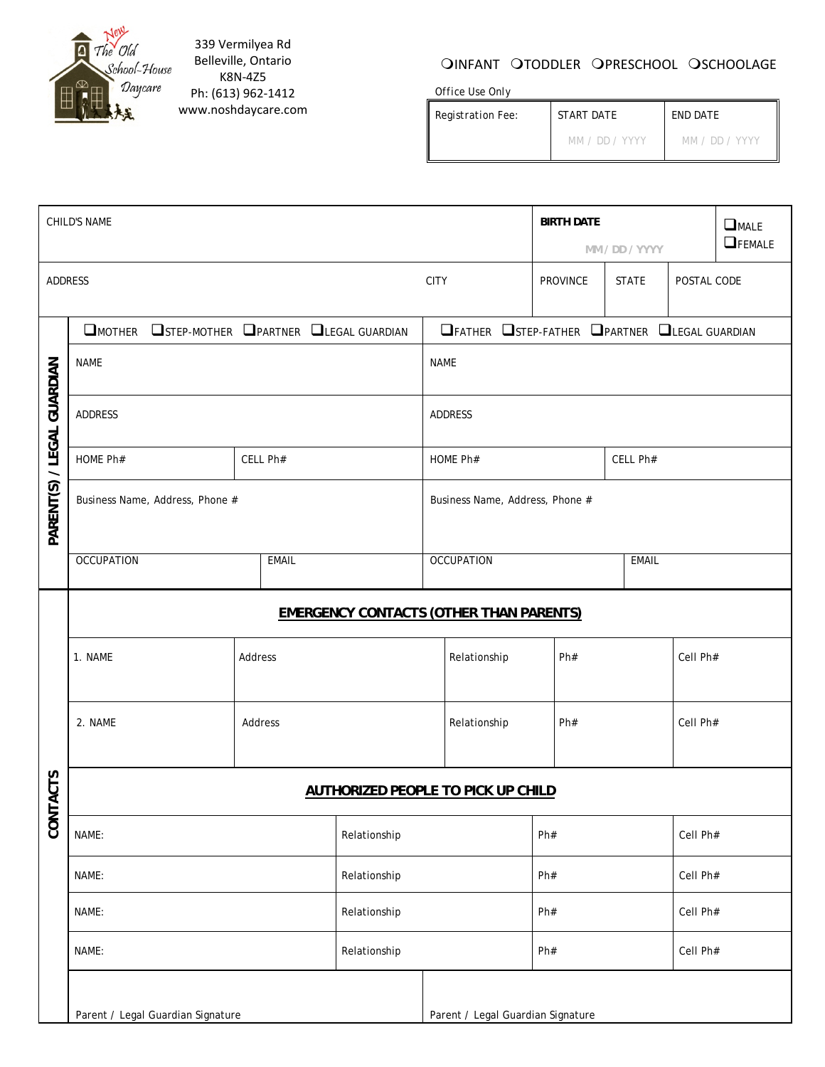

339 Vermilyea Rd Belleville, Ontario K8N‐4Z5 Ph: (613) 962‐1412 www.noshdaycare.com

## OINFANT OTODDLER OPRESCHOOL OSCHOOLAGE

*Office Use Only* 

| www.noshdaycare.com | <i>Registration Fee:</i> | <i>START DATE</i> | <i>END DATE</i> |
|---------------------|--------------------------|-------------------|-----------------|
|                     |                          | MM / DD / YYYY    | MM / DD / YYYY  |

| <b>CHILD'S NAME</b>        |                                                |              |                                               | <b>BIRTH DATE</b>                 |                                         |                | $\Box$ MALE |               |
|----------------------------|------------------------------------------------|--------------|-----------------------------------------------|-----------------------------------|-----------------------------------------|----------------|-------------|---------------|
|                            |                                                |              |                                               |                                   |                                         | MM / DD / YYYY |             | $\Box$ FEMALE |
| ADDRESS                    |                                                |              |                                               | <b>CITY</b>                       | PROVINCE<br><b>STATE</b><br>POSTAL CODE |                |             |               |
|                            | OMOTHER OSTEP-MOTHER OPARTNER OLEGAL GUARDIAN  |              | OFATHER OSTEP-FATHER OPARTNER OLEGAL GUARDIAN |                                   |                                         |                |             |               |
| PARENT(S) / LEGAL GUARDIAN | <b>NAME</b>                                    |              | <b>NAME</b>                                   |                                   |                                         |                |             |               |
|                            | ADDRESS                                        |              |                                               | <b>ADDRESS</b>                    |                                         |                |             |               |
|                            | HOME Ph#                                       | CELL Ph#     | HOME Ph#                                      |                                   |                                         | CELL Ph#       |             |               |
|                            | Business Name, Address, Phone #                |              | Business Name, Address, Phone #               |                                   |                                         |                |             |               |
|                            | <b>OCCUPATION</b>                              | <b>EMAIL</b> |                                               | <b>OCCUPATION</b>                 |                                         | <b>EMAIL</b>   |             |               |
|                            | <b>EMERGENCY CONTACTS (OTHER THAN PARENTS)</b> |              |                                               |                                   |                                         |                |             |               |
| <b>ACTS</b>                | 1. NAME                                        | Address      |                                               | Relationship<br>Ph#               |                                         | Cell Ph#       |             |               |
|                            | 2. NAME                                        | Address      |                                               | Relationship<br>Ph#               |                                         | Cell Ph#       |             |               |
|                            | <b>AUTHORIZED PEOPLE TO PICK UP CHILD</b>      |              |                                               |                                   |                                         |                |             |               |
| <b>CONT</b>                | NAME:<br>Relationship                          |              |                                               |                                   | Ph#                                     |                | Cell Ph#    |               |
|                            | NAME:                                          |              | Relationship                                  |                                   | Ph#                                     |                | Cell Ph#    |               |
|                            | NAME:                                          |              | Relationship                                  |                                   | Ph#                                     |                | Cell Ph#    |               |
|                            | NAME:                                          |              | Relationship                                  |                                   | Ph#                                     |                | Cell Ph#    |               |
|                            | Parent / Legal Guardian Signature              |              |                                               | Parent / Legal Guardian Signature |                                         |                |             |               |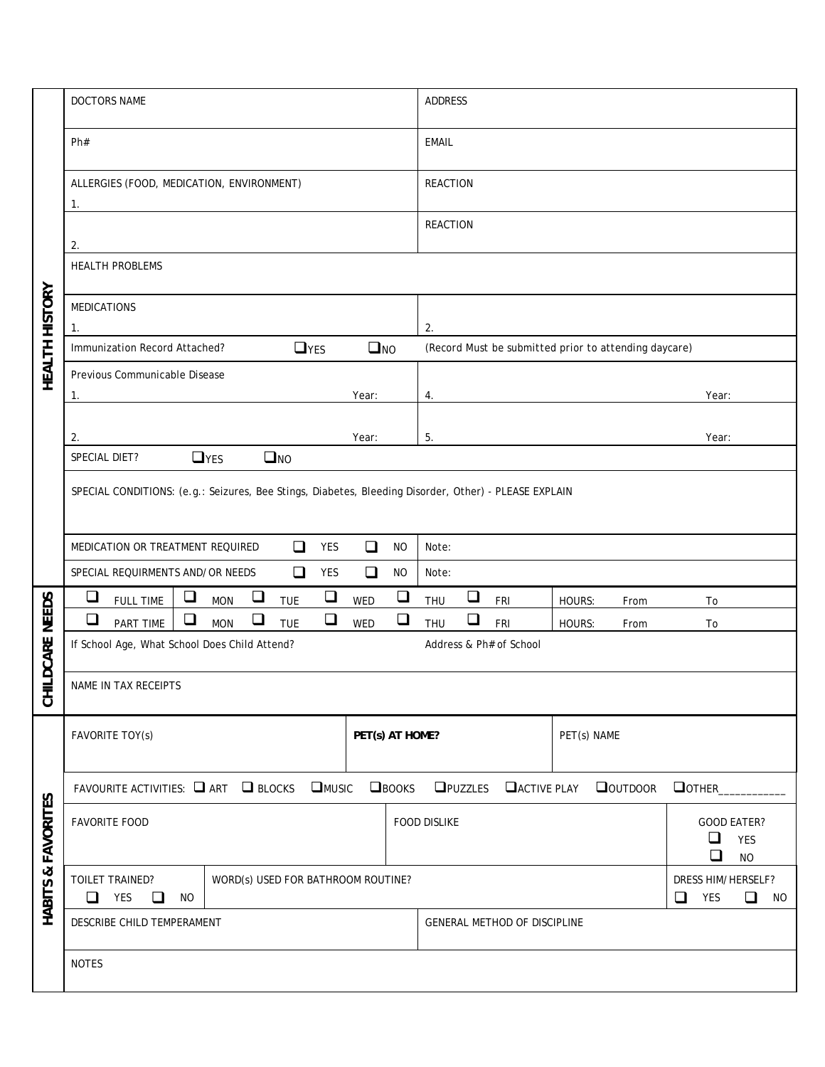|                  | DOCTORS NAME                                                                                          | ADDRESS                                                                             |  |  |  |
|------------------|-------------------------------------------------------------------------------------------------------|-------------------------------------------------------------------------------------|--|--|--|
|                  | Ph#                                                                                                   | <b>EMAIL</b>                                                                        |  |  |  |
| HEALTH HISTORY   | ALLERGIES (FOOD, MEDICATION, ENVIRONMENT)<br>1.                                                       | <b>REACTION</b>                                                                     |  |  |  |
|                  | 2.                                                                                                    | <b>REACTION</b>                                                                     |  |  |  |
|                  | <b>HEALTH PROBLEMS</b>                                                                                |                                                                                     |  |  |  |
|                  | <b>MEDICATIONS</b><br>1.                                                                              | 2.                                                                                  |  |  |  |
|                  | $\Box$ YES<br>$\square$ NO<br>Immunization Record Attached?                                           | (Record Must be submitted prior to attending daycare)                               |  |  |  |
|                  | Previous Communicable Disease<br>Year:<br>1.                                                          | Year:<br>4.                                                                         |  |  |  |
|                  |                                                                                                       |                                                                                     |  |  |  |
|                  | 2.<br>Year:                                                                                           | 5.<br>Year:                                                                         |  |  |  |
|                  | $\Box$ YES<br>$\square$ NO<br>SPECIAL DIET?                                                           |                                                                                     |  |  |  |
|                  | SPECIAL CONDITIONS: (e.g.: Seizures, Bee Stings, Diabetes, Bleeding Disorder, Other) - PLEASE EXPLAIN |                                                                                     |  |  |  |
|                  | $\Box$<br>$\Box$<br>MEDICATION OR TREATMENT REQUIRED<br>YES<br><b>NO</b>                              | Note:                                                                               |  |  |  |
|                  | $\Box$<br>SPECIAL REQUIRMENTS AND/OR NEEDS<br>$\Box$<br><b>NO</b><br>YES                              | Note:                                                                               |  |  |  |
|                  | $\Box$<br>$\Box$<br>$\Box$<br>$\Box$<br>$\Box$<br><b>FULL TIME</b><br><b>MON</b><br><b>TUE</b><br>WED | $\Box$<br>THU<br>FRI<br>HOURS:<br>From<br>To                                        |  |  |  |
| <b>NEEDS</b>     | $\Box$<br>$\Box$<br>$\Box$<br>$\Box$<br>$\Box$<br>PART TIME<br><b>MON</b><br><b>TUE</b><br>WED        | $\Box$<br><b>THU</b><br>FRI<br>HOURS:<br>From<br>To                                 |  |  |  |
| LDCARE           | If School Age, What School Does Child Attend?                                                         | Address & Ph# of School                                                             |  |  |  |
| 공                | NAME IN TAX RECEIPTS                                                                                  |                                                                                     |  |  |  |
|                  | FAVORITE TOY(s)<br>PET(s) AT HOME?                                                                    | PET(s) NAME                                                                         |  |  |  |
|                  | FAVOURITE ACTIVITIES: $\Box$ ART $\Box$ BLOCKS $\Box$ MUSIC<br>$\Box$ <b>BOOKS</b>                    | <b>OPUZZLES O</b> ACTIVE PLAY<br><b>QOUTDOOR</b><br><b>O</b> OTHER                  |  |  |  |
| <b>FAVORITES</b> | <b>FAVORITE FOOD</b>                                                                                  | <b>FOOD DISLIKE</b><br><b>GOOD EATER?</b><br>$\Box$<br><b>YES</b><br>❏<br><b>NO</b> |  |  |  |
| HABITS &         | TOILET TRAINED?<br>WORD(s) USED FOR BATHROOM ROUTINE?<br>YES<br>$\Box$<br>$\Box$<br><b>NO</b>         | DRESS HIM/HERSELF?<br>YES<br>$\Box$<br>$\Box$<br><b>NO</b>                          |  |  |  |
|                  | DESCRIBE CHILD TEMPERAMENT                                                                            | GENERAL METHOD OF DISCIPLINE                                                        |  |  |  |
|                  | <b>NOTES</b>                                                                                          |                                                                                     |  |  |  |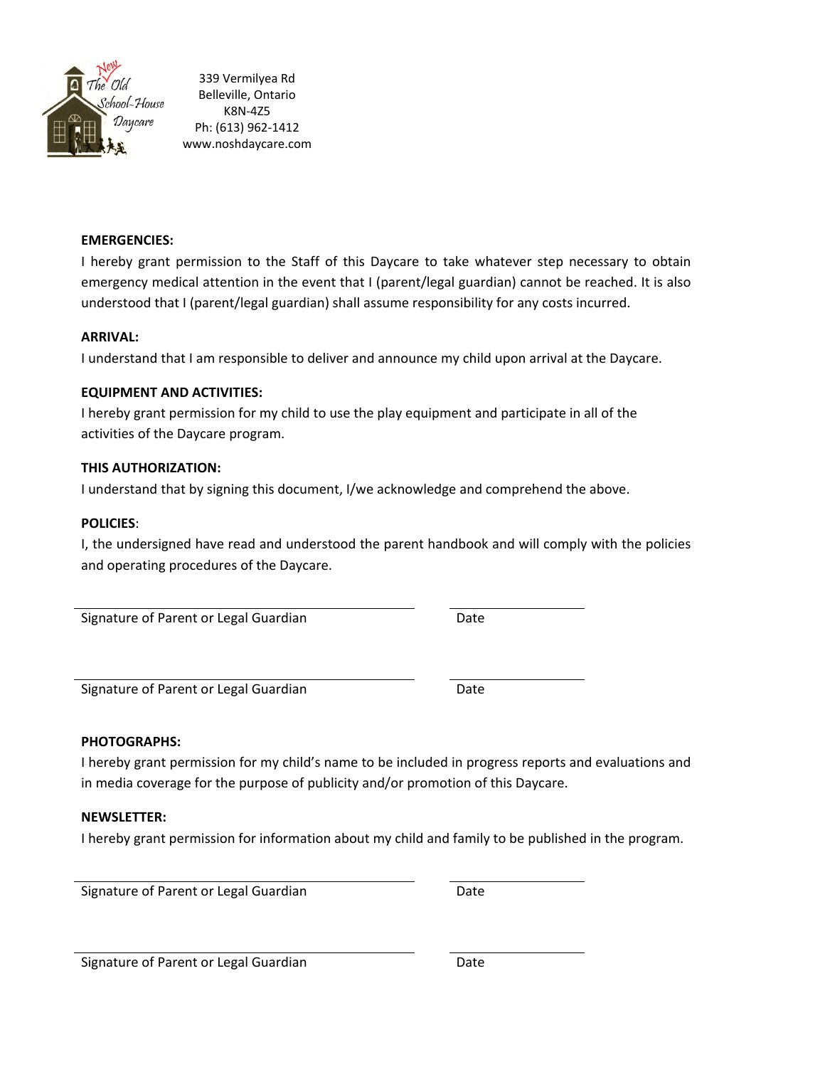

339 Vermilyea Rd Belleville, Ontario K8N‐4Z5 Ph: (613) 962‐1412 www.noshdaycare.com

#### **EMERGENCIES:**

I hereby grant permission to the Staff of this Daycare to take whatever step necessary to obtain emergency medical attention in the event that I (parent/legal guardian) cannot be reached. It is also understood that I (parent/legal guardian) shall assume responsibility for any costs incurred.

#### **ARRIVAL:**

I understand that I am responsible to deliver and announce my child upon arrival at the Daycare.

#### **EQUIPMENT AND ACTIVITIES:**

I hereby grant permission for my child to use the play equipment and participate in all of the activities of the Daycare program.

#### **THIS AUTHORIZATION:**

I understand that by signing this document, I/we acknowledge and comprehend the above.

#### **POLICIES**:

I, the undersigned have read and understood the parent handbook and will comply with the policies and operating procedures of the Daycare.

Signature of Parent or Legal Guardian 
Bate

Signature of Parent or Legal Guardian **Base 19 and Strate 19 and Strate** Date

#### **PHOTOGRAPHS:**

I hereby grant permission for my child's name to be included in progress reports and evaluations and in media coverage for the purpose of publicity and/or promotion of this Daycare.

#### **NEWSLETTER:**

I hereby grant permission for information about my child and family to be published in the program.

Signature of Parent or Legal Guardian **Base 19 and Strate 19 and Strate** Date

Signature of Parent or Legal Guardian 
Bate